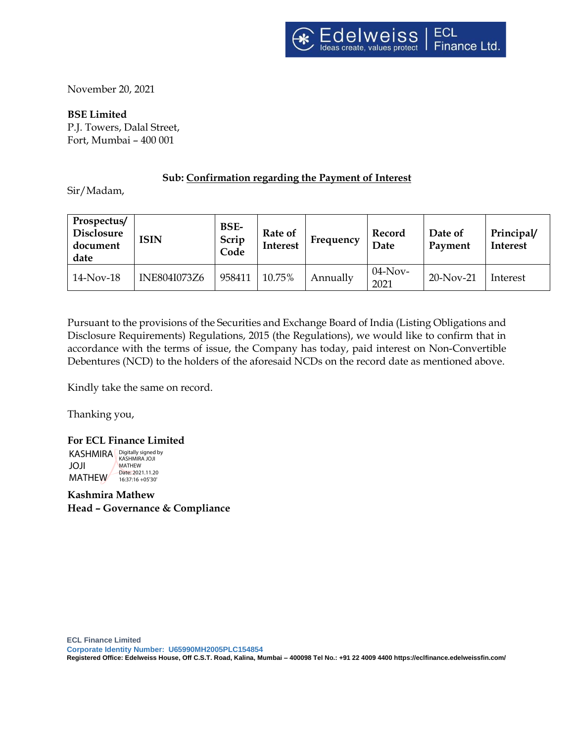November 20, 2021

**BSE Limited** P.J. Towers, Dalal Street, Fort, Mumbai – 400 001

# **Sub: Confirmation regarding the Payment of Interest**

Sir/Madam,

| Prospectus/<br><b>Disclosure</b><br>document<br>date | <b>ISIN</b>         | BSE-<br>Scrip<br>Code | Rate of<br><b>Interest</b> | Frequency | Record<br>Date     | Date of<br>Payment | Principal/<br><b>Interest</b> |
|------------------------------------------------------|---------------------|-----------------------|----------------------------|-----------|--------------------|--------------------|-------------------------------|
| $14$ -Nov-18                                         | <b>INE804I073Z6</b> | 958411                | 10.75%                     | Annually  | $04$ -Nov-<br>2021 | $20-Nov-21$        | Interest                      |

Pursuant to the provisions of the Securities and Exchange Board of India (Listing Obligations and Disclosure Requirements) Regulations, 2015 (the Regulations), we would like to confirm that in accordance with the terms of issue, the Company has today, paid interest on Non-Convertible Debentures (NCD) to the holders of the aforesaid NCDs on the record date as mentioned above.

Kindly take the same on record.

Thanking you,

**For ECL Finance Limited**  KASHMIRA Bigitally signed by JOJI MATHEW<sup>/</sup> MATHEW Date: 2021.11.20 16:37:16 +05'30'

**Kashmira Mathew Head – Governance & Compliance**